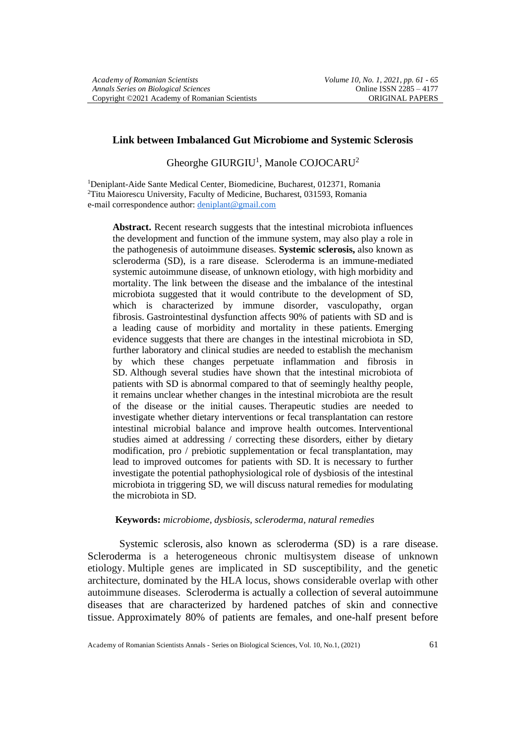## **Link between Imbalanced Gut Microbiome and Systemic Sclerosis**

Gheorghe GIURGIU<sup>1</sup>, Manole COJOCARU<sup>2</sup>

<sup>1</sup>Deniplant-Aide Sante Medical Center, Biomedicine, Bucharest, 012371, Romania <sup>2</sup>Titu Maiorescu University, Faculty of Medicine, Bucharest, 031593, Romania e-mail correspondence author: [deniplant@gmail.com](mailto:deniplant@gmail.com)

**Abstract.** Recent research suggests that the intestinal microbiota influences the development and function of the immune system, may also play a role in the pathogenesis of autoimmune diseases. **Systemic sclerosis,** also known as scleroderma (SD), is a rare disease. Scleroderma is an immune-mediated systemic autoimmune disease, of unknown etiology, with high morbidity and mortality. The link between the disease and the imbalance of the intestinal microbiota suggested that it would contribute to the development of SD, which is characterized by immune disorder, vasculopathy, organ fibrosis. Gastrointestinal dysfunction affects 90% of patients with SD and is a leading cause of morbidity and mortality in these patients. Emerging evidence suggests that there are changes in the intestinal microbiota in SD, further laboratory and clinical studies are needed to establish the mechanism by which these changes perpetuate inflammation and fibrosis in SD. Although several studies have shown that the intestinal microbiota of patients with SD is abnormal compared to that of seemingly healthy people, it remains unclear whether changes in the intestinal microbiota are the result of the disease or the initial causes. Therapeutic studies are needed to investigate whether dietary interventions or fecal transplantation can restore intestinal microbial balance and improve health outcomes. Interventional studies aimed at addressing / correcting these disorders, either by dietary modification, pro / prebiotic supplementation or fecal transplantation, may lead to improved outcomes for patients with SD. It is necessary to further investigate the potential pathophysiological role of dysbiosis of the intestinal microbiota in triggering SD, we will discuss natural remedies for modulating the microbiota in SD.

### **Keywords:** *microbiome, dysbiosis, scleroderma, natural remedies*

Systemic sclerosis, also known as scleroderma (SD) is a rare disease. Scleroderma is a heterogeneous chronic multisystem disease of unknown etiology. Multiple genes are implicated in SD susceptibility, and the genetic architecture, dominated by the HLA locus, shows considerable overlap with other autoimmune diseases. Scleroderma is actually a collection of several autoimmune diseases that are characterized by hardened patches of skin and connective tissue. Approximately 80% of patients are females, and one-half present before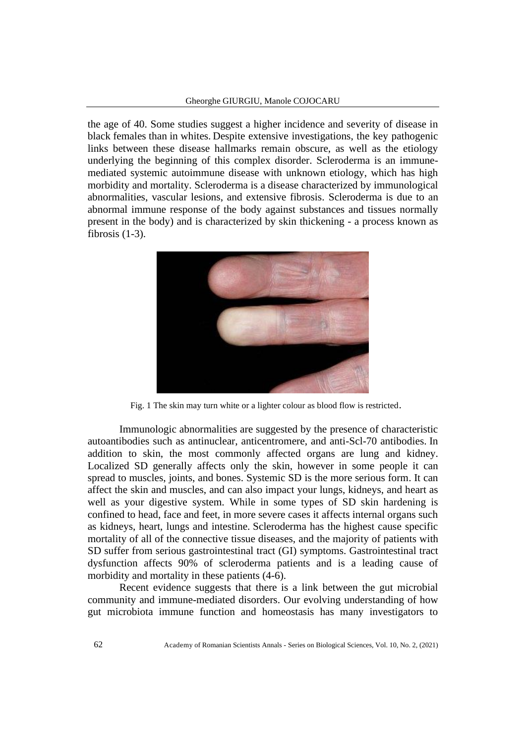the age of 40. Some studies suggest a higher incidence and severity of disease in black females than in whites. Despite extensive investigations, the key pathogenic links between these disease hallmarks remain obscure, as well as the etiology underlying the beginning of this complex disorder. Scleroderma is an immunemediated systemic autoimmune disease with unknown etiology, which has high morbidity and mortality. Scleroderma is a disease characterized by immunological abnormalities, vascular lesions, and extensive fibrosis. Scleroderma is due to an abnormal immune response of the body against substances and tissues normally present in the body) and is characterized by skin thickening - a process known as fibrosis  $(1-3)$ .



Fig. 1 The skin may turn white or a lighter colour as blood flow is restricted.

Immunologic abnormalities are suggested by the presence of characteristic autoantibodies such as antinuclear, anticentromere, and anti-Scl-70 antibodies. In addition to skin, the most commonly affected organs are lung and kidney. Localized SD generally affects only the skin, however in some people it can spread to muscles, joints, and bones. Systemic SD is the more serious form. It can affect the skin and muscles, and can also impact your lungs, kidneys, and heart as well as your digestive system. While in some types of SD skin hardening is confined to head, face and feet, in more severe cases it affects internal organs such as kidneys, heart, lungs and intestine. Scleroderma has the highest cause specific mortality of all of the connective tissue diseases, and the majority of patients with SD suffer from serious gastrointestinal tract (GI) symptoms. Gastrointestinal tract dysfunction affects 90% of scleroderma patients and is a leading cause of morbidity and mortality in these patients  $(4-6)$ .

Recent evidence suggests that there is a link between the gut microbial community and immune-mediated disorders. Our evolving understanding of how gut microbiota immune function and homeostasis has many investigators to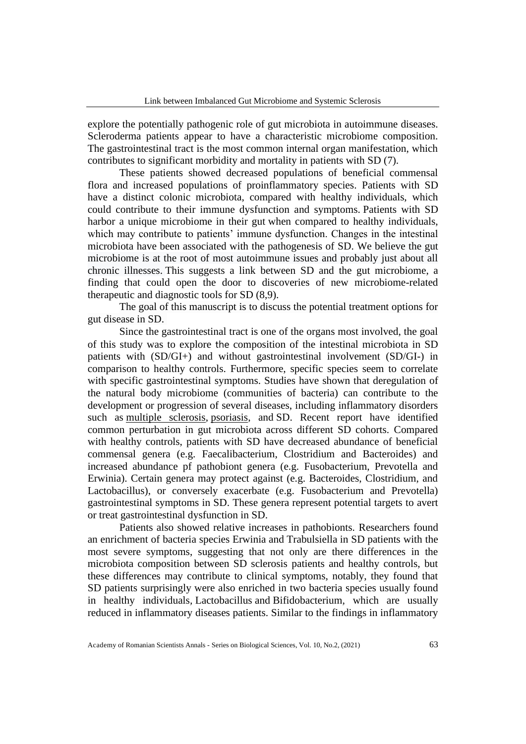explore the potentially pathogenic role of gut microbiota in autoimmune diseases. Scleroderma patients appear to have a characteristic microbiome composition. The gastrointestinal tract is the most common internal organ manifestation, which contributes to significant morbidity and mortality in patients with SD (7).

These patients showed decreased populations of beneficial commensal flora and increased populations of proinflammatory species. Patients with SD have a distinct colonic microbiota, compared with healthy individuals, which could contribute to their immune dysfunction and symptoms. Patients with SD harbor a unique microbiome in their gut when compared to healthy individuals, which may contribute to patients' immune dysfunction. Changes in the intestinal microbiota have been associated with the pathogenesis of SD. We believe the gut microbiome is at the root of most autoimmune issues and probably just about all chronic illnesses. This suggests a link between SD and the gut microbiome, a finding that could open the door to discoveries of new microbiome-related therapeutic and diagnostic tools for SD (8,9).

The goal of this manuscript is to discuss the potential treatment options for gut disease in SD.

Since the gastrointestinal tract is one of the organs most involved, the goal of this study was to explore the composition of the intestinal microbiota in SD patients with (SD/GI+) and without gastrointestinal involvement (SD/GI-) in comparison to healthy controls. Furthermore, specific species seem to correlate with specific gastrointestinal symptoms. Studies have shown that deregulation of the natural body microbiome (communities of bacteria) can contribute to the development or progression of several diseases, including inflammatory disorders such as [multiple sclerosis,](https://multiplesclerosisnewstoday.com/2016/07/15/Gut+Microbiome+in+MS+Patients+Seen+as+Overly+Rich+in+Inflammatory+Bacteria) [psoriasis,](https://psoriasisnewstoday.com/2016/07/27/gut-microbiome-may-be-therapeutic-target-in-management-of-psoriasis/) and SD. Recent report have identified common perturbation in gut microbiota across different SD cohorts. Compared with healthy controls, patients with SD have decreased abundance of beneficial commensal genera (e.g. Faecalibacterium, Clostridium and Bacteroides) and increased abundance pf pathobiont genera (e.g. Fusobacterium, Prevotella and Erwinia). Certain genera may protect against (e.g. Bacteroides, Clostridium, and Lactobacillus), or conversely exacerbate (e.g. Fusobacterium and Prevotella) gastrointestinal symptoms in SD. These genera represent potential targets to avert or treat gastrointestinal dysfunction in SD.

Patients also showed relative increases in pathobionts. Researchers found an enrichment of bacteria species Erwinia and Trabulsiella in SD patients with the most severe symptoms, suggesting that not only are there differences in the microbiota composition between SD sclerosis patients and healthy controls, but these differences may contribute to clinical symptoms, notably, they found that SD patients surprisingly were also enriched in two bacteria species usually found in healthy individuals*,* Lactobacillus and Bifidobacterium*,* which are usually reduced in inflammatory diseases patients. Similar to the findings in inflammatory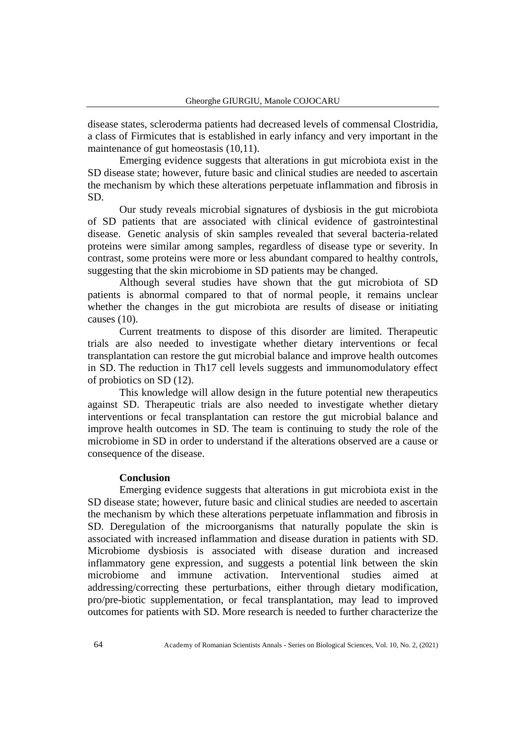disease states, scleroderma patients had decreased levels of commensal Clostridia, a class of Firmicutes that is established in early infancy and very important in the maintenance of gut homeostasis (10,11).

Emerging evidence suggests that alterations in gut microbiota exist in the SD disease state; however, future basic and clinical studies are needed to ascertain the mechanism by which these alterations perpetuate inflammation and fibrosis in SD.

Our study reveals microbial signatures of dysbiosis in the gut microbiota of SD patients that are associated with clinical evidence of gastrointestinal disease. Genetic analysis of skin samples revealed that several bacteria-related proteins were similar among samples, regardless of disease type or severity. In contrast, some proteins were more or less abundant compared to healthy controls, suggesting that the skin microbiome in SD patients may be changed.

Although several studies have shown that the gut microbiota of SD patients is abnormal compared to that of normal people, it remains unclear whether the changes in the gut microbiota are results of disease or initiating causes (10).

Current treatments to dispose of this disorder are limited. Therapeutic trials are also needed to investigate whether dietary interventions or fecal transplantation can restore the gut microbial balance and improve health outcomes in SD. The reduction in Th17 cell levels suggests and immunomodulatory effect of probiotics on SD (12).

This knowledge will allow design in the future potential new therapeutics against SD. Therapeutic trials are also needed to investigate whether dietary interventions or fecal transplantation can restore the gut microbial balance and improve health outcomes in SD. The team is continuing to study the role of the microbiome in SD in order to understand if the alterations observed are a cause or consequence of the disease.

## **Conclusion**

Emerging evidence suggests that alterations in gut microbiota exist in the SD disease state; however, future basic and clinical studies are needed to ascertain the mechanism by which these alterations perpetuate inflammation and fibrosis in SD. Deregulation of the microorganisms that naturally populate the skin is associated with increased inflammation and disease duration in patients with SD. Microbiome dysbiosis is associated with disease duration and increased inflammatory gene expression, and suggests a potential link between the skin microbiome and immune activation. Interventional studies aimed addressing/correcting these perturbations, either through dietary modification, pro/pre-biotic supplementation, or fecal transplantation, may lead to improved outcomes for patients with SD. More research is needed to further characterize the